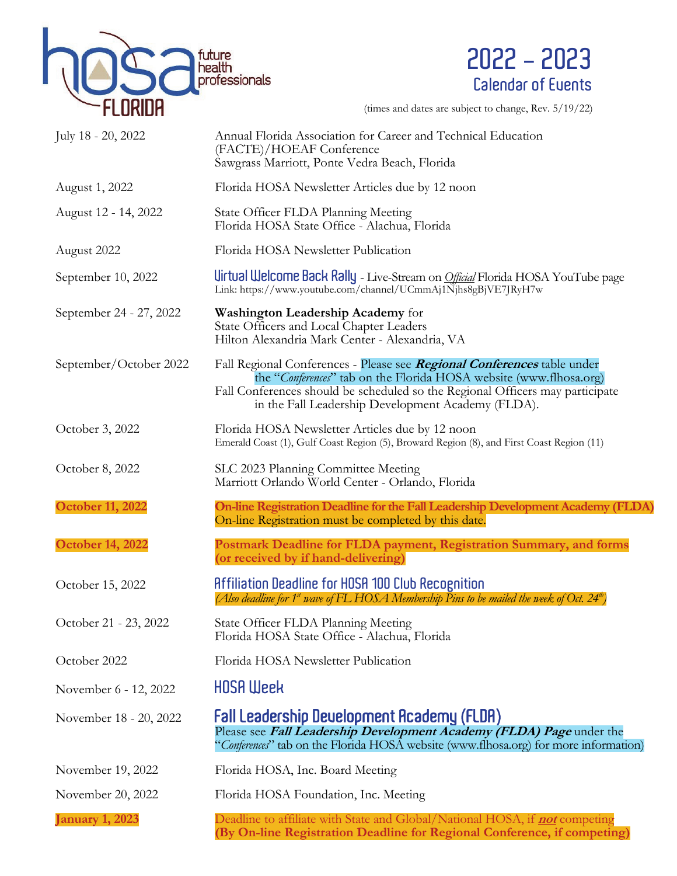



(times and dates are subject to change, Rev. 5/19/22)

| July 18 - 20, 2022      | Annual Florida Association for Career and Technical Education<br>(FACTE)/HOEAF Conference<br>Sawgrass Marriott, Ponte Vedra Beach, Florida                                                                                                                                           |
|-------------------------|--------------------------------------------------------------------------------------------------------------------------------------------------------------------------------------------------------------------------------------------------------------------------------------|
| August 1, 2022          | Florida HOSA Newsletter Articles due by 12 noon                                                                                                                                                                                                                                      |
| August 12 - 14, 2022    | State Officer FLDA Planning Meeting<br>Florida HOSA State Office - Alachua, Florida                                                                                                                                                                                                  |
| August 2022             | Florida HOSA Newsletter Publication                                                                                                                                                                                                                                                  |
| September 10, 2022      | Uirtual Welcome Back Rally - Live-Stream on <i>Official</i> Florida HOSA YouTube page<br>Link: https://www.youtube.com/channel/UCmmAj1Njhs8gBjVE7JRyH7w                                                                                                                              |
| September 24 - 27, 2022 | <b>Washington Leadership Academy for</b><br>State Officers and Local Chapter Leaders<br>Hilton Alexandria Mark Center - Alexandria, VA                                                                                                                                               |
| September/October 2022  | Fall Regional Conferences - Please see Regional Conferences table under<br>the "Conferences" tab on the Florida HOSA website (www.flhosa.org)<br>Fall Conferences should be scheduled so the Regional Officers may participate<br>in the Fall Leadership Development Academy (FLDA). |
| October 3, 2022         | Florida HOSA Newsletter Articles due by 12 noon<br>Emerald Coast (1), Gulf Coast Region (5), Broward Region (8), and First Coast Region (11)                                                                                                                                         |
| October 8, 2022         | SLC 2023 Planning Committee Meeting<br>Marriott Orlando World Center - Orlando, Florida                                                                                                                                                                                              |
| October 11, 2022        | On-line Registration Deadline for the Fall Leadership Development Academy (FLDA)<br>On-line Registration must be completed by this date.                                                                                                                                             |
| <b>October 14, 2022</b> | Postmark Deadline for FLDA payment, Registration Summary, and forms<br>(or received by if hand-delivering)                                                                                                                                                                           |
| October 15, 2022        | <b>Affiliation Deadline for HOSA 100 Club Recognition</b><br>(Also deadline for 1 <sup>st</sup> wave of FL HOSA Membership Pins to be mailed the week of Oct. 24 <sup>th</sup> )                                                                                                     |
| October 21 - 23, 2022   | State Officer FLDA Planning Meeting<br>Florida HOSA State Office - Alachua, Florida                                                                                                                                                                                                  |
| October 2022            | Florida HOSA Newsletter Publication                                                                                                                                                                                                                                                  |
| November 6 - 12, 2022   | <b>HOSA Week</b>                                                                                                                                                                                                                                                                     |
| November 18 - 20, 2022  | <b>Fall Leadership Deuelopment Academy (FLDA)</b><br>Please see Fall Leadership Development Academy (FLDA) Page under the<br>"Conferences" tab on the Florida HOSA website (www.flhosa.org) for more information)                                                                    |
| November 19, 2022       | Florida HOSA, Inc. Board Meeting                                                                                                                                                                                                                                                     |
| November 20, 2022       | Florida HOSA Foundation, Inc. Meeting                                                                                                                                                                                                                                                |
| <b>January 1, 2023</b>  | Deadline to affiliate with State and Global/National HOSA, if <b>not</b> competing<br>(By On-line Registration Deadline for Regional Conference, if competing)                                                                                                                       |